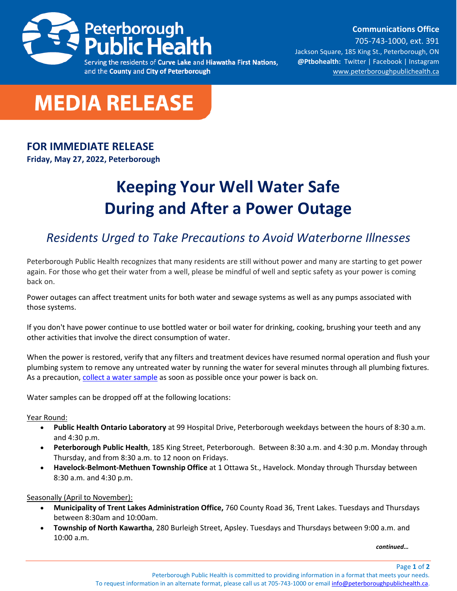

and the County and City of Peterborough

**Communications Office**

705-743-1000, ext. 391 Jackson Square, 185 King St., Peterborough, ON **@Ptbohealth:** [Twitter](http://www.twitter.com/PCCHU) | [Facebook](http://www.facebook.ca/PCCHU1) | Instagram [www.peterboroughpublichealth.ca](http://www.peterboroughpublichealth.ca/)



## **FOR IMMEDIATE RELEASE**

**Friday, May 27, 2022, Peterborough**

## **Keeping Your Well Water Safe During and After a Power Outage**

## *Residents Urged to Take Precautions to Avoid Waterborne Illnesses*

Peterborough Public Health recognizes that many residents are still without power and many are starting to get power again. For those who get their water from a well, please be mindful of well and septic safety as your power is coming back on.

Power outages can affect treatment units for both water and sewage systems as well as any pumps associated with those systems.

If you don't have power continue to use bottled water or boil water for drinking, cooking, brushing your teeth and any other activities that involve the direct consumption of water.

When the power is restored, verify that any filters and treatment devices have resumed normal operation and flush your plumbing system to remove any untreated water by running the water for several minutes through all plumbing fixtures. As a precaution, [collect a water sample](https://www.peterboroughpublichealth.ca/your-health/food-water-safety/water-safety/?highlight=well%20water) as soon as possible once your power is back on.

Water samples can be dropped off at the following locations:

Year Round:

- **Public Health Ontario Laboratory** at 99 Hospital Drive, Peterborough weekdays between the hours of 8:30 a.m. and 4:30 p.m.
- **Peterborough Public Health**, 185 King Street, Peterborough. Between 8:30 a.m. and 4:30 p.m. Monday through Thursday, and from 8:30 a.m. to 12 noon on Fridays.
- **Havelock-Belmont-Methuen Township Office** at 1 Ottawa St., Havelock. Monday through Thursday between 8:30 a.m. and 4:30 p.m.

Seasonally (April to November):

- **Municipality of Trent Lakes Administration Office,** 760 County Road 36, Trent Lakes. Tuesdays and Thursdays between 8:30am and 10:00am.
- **Township of North Kawartha**, 280 Burleigh Street, Apsley. Tuesdays and Thursdays between 9:00 a.m. and 10:00 a.m.

*continued…*